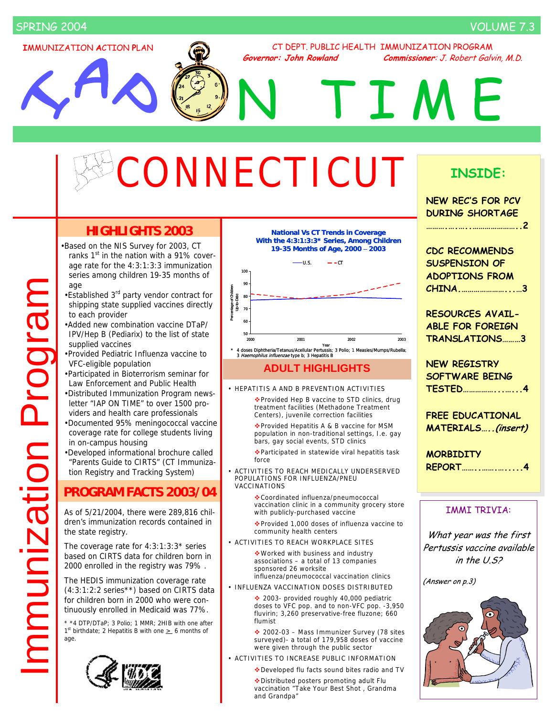# SPRING 2004 VOLUME 7.3

**I**MMUNIZATION **A**CTION **P**LAN

CT DEPT. PUBLIC HEALTH IMMUNIZATION PROGRAM **Governor: John Rowland Commissioner**: J. Robert Galvin, M.D.

N TIME

# ONNECTICUT

# **HIGHLIGHTS 2003**

•Based on the NIS Survey for 2003, CT ranks  $1<sup>st</sup>$  in the nation with a 91% coverage rate for the 4:3:1:3:3 immunization series among children 19-35 months of age

- •Established 3<sup>rd</sup> party vendor contract for shipping state supplied vaccines directly to each provider
- •Added new combination vaccine DTaP/ IPV/Hep B (Pediarix) to the list of state supplied vaccines
- •Provided Pediatric Influenza vaccine to VFC-eligible population
- •Participated in Bioterrorism seminar for Law Enforcement and Public Health
- •Distributed Immunization Program newsletter "IAP ON TIME" to over 1500 providers and health care professionals
- •Documented 95% meningococcal vaccine coverage rate for college students living in on-campus housing
- •Developed informational brochure called "Parents Guide to CIRTS" (CT Immunization Registry and Tracking System)

# **PROGRAM FACTS 2003/04**

As of 5/21/2004, there were 289,816 children's immunization records contained in the state registry.

The coverage rate for 4:3:1:3:3\* series based on CIRTS data for children born in 2000 enrolled in the registry was 79% .

The HEDIS immunization coverage rate (4:3:1:2:2 series\*\*) based on CIRTS data for children born in 2000 who were continuously enrolled in Medicaid was 77%.

\* \*4 DTP/DTaP; 3 Polio; 1 MMR; 2HIB with one after 1st birthdate; 2 Hepatitis B with one  $\geq$  6 months of age.





**19-35 Months of Age, 2000** – **2003**



### **ADULT HIGHLIGHTS**

• HEPATITIS A AND B PREVENTION ACTIVITIES

◆ Provided Hep B vaccine to STD clinics, drug treatment facilities (Methadone Treatment Centers), juvenile correction facilities

Provided Hepatitis A & B vaccine for MSM population in non-traditional settings, I.e. gay bars, gay social events, STD clinics

Participated in statewide viral hepatitis task force

• ACTIVITIES TO REACH MEDICALLY UNDERSERVED POPULATIONS FOR INFLUENZA/PNEU VACCINATIONS

> Coordinated influenza/pneumococcal vaccination clinic in a community grocery store with publicly-purchased vaccine

Provided 1,000 doses of influenza vaccine to community health centers

• ACTIVITIES TO REACH WORKPLACE SITES

Worked with business and industry associations – a total of 13 companies sponsored 26 worksite influenza/pneumococcal vaccination clinics

• INFLUENZA VACCINATION DOSES DISTRIBUTED

 2003- provided roughly 40,000 pediatric doses to VFC pop. and to non-VFC pop. -3,950 fluvirin; 3,260 preservative-free fluzone; 660 flumist

◆ 2002-03 – Mass Immunizer Survey (78 sites surveyed)- a total of 179,958 doses of vaccine were given through the public sector

- ACTIVITIES TO INCREASE PUBLIC INFORMATION
	- Developed flu facts sound bites radio and TV

Distributed posters promoting adult Flu vaccination "Take Your Best Shot , Grandma and Grandpa"

# **INSIDE:**

| <b>NEW REC'S FOR PCV</b><br><b>DURING SHORTAGE</b>                               |
|----------------------------------------------------------------------------------|
| <b>CDC RECOMMENDS</b><br><b>SUSPENSION OF</b><br><b>ADOPTIONS FROM</b><br>CHINA3 |
| <b>RESOURCES AVAIL-</b><br><b>ABLE FOR FOREIGN</b><br>TRANSLATIONS3              |
| <b>NEW REGISTRY</b><br><b>SOFTWARE BEING</b><br><b>TESTED</b> 4                  |
| <b>FREE EDUCATIONAL</b><br>MATERIALS(insert)                                     |
| <b>MORBIDITY</b><br>REPORT4                                                      |
| <b>IMMI TRIVIA:</b>                                                              |
| What year was the first<br>Pertussis vaccine available<br>in the $U.S.2$         |
| (Answer on p.3)                                                                  |
|                                                                                  |

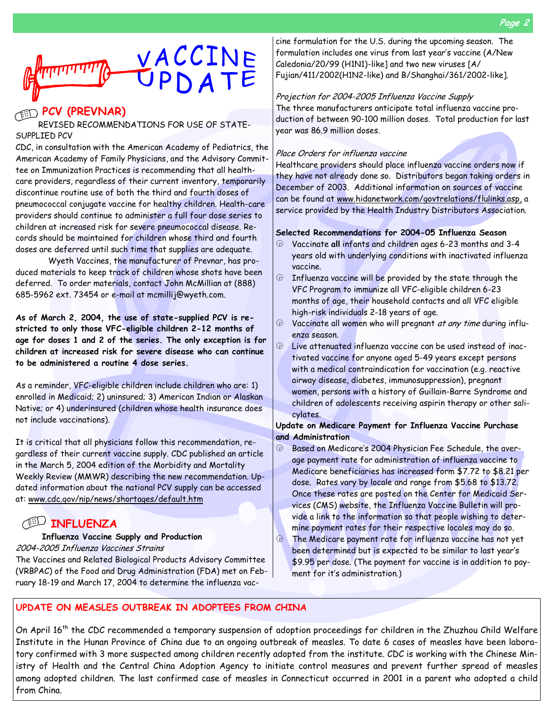

## **PCV (PREVNAR)**

#### REVISED RECOMMENDATIONS FOR USE OF STATE-SUPPLIED PCV

CDC, in consultation with the American Academy of Pediatrics, the American Academy of Family Physicians, and the Advisory Committee on Immunization Practices is recommending that all healthcare providers, regardless of their current inventory, temporarily discontinue routine use of both the third and fourth doses of pneumococcal conjugate vaccine for healthy children. Health-care providers should continue to administer a full four dose series to children at increased risk for severe pneumococcal disease. Records should be maintained for children whose third and fourth doses are deferred until such time that supplies are adequate.

 Wyeth Vaccines, the manufacturer of Prevnar, has produced materials to keep track of children whose shots have been deferred. To order materials, contact John McMillian at (888) 685-5962 ext. 73454 or e-mail at mcmillij@wyeth.com.

**As of March 2, 2004, the use of state-supplied PCV is restricted to only those VFC-eligible children 2-12 months of age for doses 1 and 2 of the series. The only exception is for children at increased risk for severe disease who can continue to be administered a routine 4 dose series.** 

As a reminder, VFC-eligible children include children who are: 1) enrolled in Medicaid; 2) uninsured; 3) American Indian or Alaskan Native; or 4) underinsured (children whose health insurance does not include vaccinations).

It is critical that all physicians follow this recommendation, regardless of their current vaccine supply. CDC published an article in the March 5, 2004 edition of the Morbidity and Mortality Weekly Review (MMWR) describing the new recommendation. Updated information about the national PCV supply can be accessed at: www.cdc.gov/nip/news/shortages/default.htm

# **INFLUENZA**

#### **Influenza Vaccine Supply and Production**

2004-2005 Influenza Vaccines Strains

The Vaccines and Related Biological Products Advisory Committee (VRBPAC) of the Food and Drug Administration (FDA) met on February 18-19 and March 17, 2004 to determine the influenza vac-

cine formulation for the U.S. during the upcoming season. The formulation includes one virus from last year's vaccine (A/New Caledonia/20/99 (H1N1)-like] and two new viruses [A/ Fujian/411/2002(H1N2-like) and B/Shanghai/361/2002-like].

#### Projection for 2004-2005 Influenza Vaccine Supply

The three manufacturers anticipate total influenza vaccine production of between 90-100 million doses. Total production for last year was 86.9 million doses.

#### Place Orders for influenza vaccine

Healthcare providers should place influenza vaccine orders now if they have not already done so. Distributors began taking orders in December of 2003. Additional information on sources of vaccine can be found at www.hidanetwork.com/govtrelations/flulinks.asp, a service provided by the Health Industry Distributors Association.

#### **Selected Recommendations for 2004-05 Influenza Season**

- k Vaccinate **all** infants and children ages 6-23 months and 3-4 years old with underlying conditions with inactivated influenza vaccine.
- $\oplus$  Influenza vaccine will be provided by the state through the VFC Program to immunize all VFC-eligible children 6-23 months of age, their household contacts and all VFC eligible high-risk individuals 2-18 years of age.
- $\Theta$  Vaccinate all women who will pregnant at any time during influenza season.
- $\odot$  Live attenuated influenza vaccine can be used instead of inactivated vaccine for anyone aged 5-49 years except persons with a medical contraindication for vaccination (e.g. reactive airway disease, diabetes, immunosuppression), pregnant women, persons with a history of Guillain-Barre Syndrome and children of adolescents receiving aspirin therapy or other salicylates.

#### **Update on Medicare Payment for Influenza Vaccine Purchase and Administration**

- **E** Based on Medicare's 2004 Physician Fee Schedule, the average payment rate for administration of influenza vaccine to Medicare beneficiaries has increased form \$7.72 to \$8.21 per dose. Rates vary by locale and range from \$5.68 to \$13.72. Once these rates are posted on the Center for Medicaid Services (CMS) website, the Influenza Vaccine Bulletin will provide a link to the information so that people wishing to determine payment rates for their respective locales may do so.
- $\Theta$  The Medicare payment rate for influenza vaccine has not yet been determined but is expected to be similar to last year's \$9.95 per dose. (The payment for vaccine is in addition to payment for it's administration.)

#### **UPDATE ON MEASLES OUTBREAK IN ADOPTEES FROM CHINA**

On April 16th the CDC recommended a temporary suspension of adoption proceedings for children in the Zhuzhou Child Welfare Institute in the Hunan Province of China due to an ongoing outbreak of measles. To date 6 cases of measles have been laboratory confirmed with 3 more suspected among children recently adopted from the institute. CDC is working with the Chinese Ministry of Health and the Central China Adoption Agency to initiate control measures and prevent further spread of measles among adopted children. The last confirmed case of measles in Connecticut occurred in 2001 in a parent who adopted a child from China.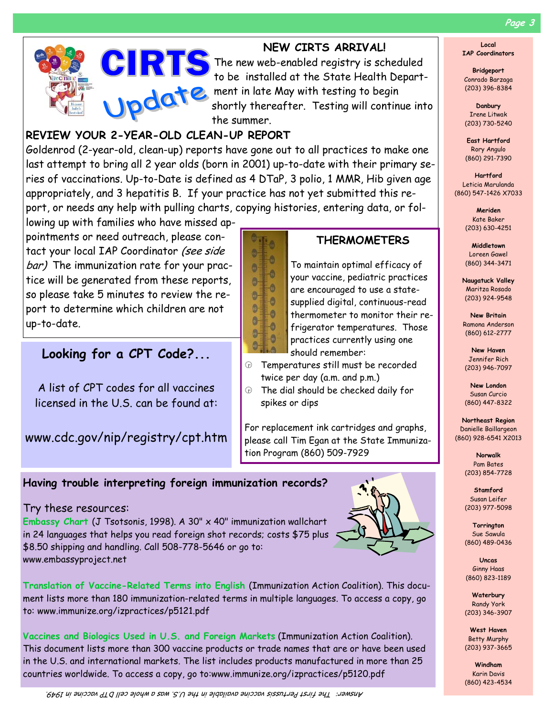

# **NEW CIRTS ARRIVAL!**

The new web-enabled registry is scheduled<br>to be installed at the State Health Departto be installed at the State Health Department in late May with testing to begin shortly thereafter. Testing will continue into the summer.

# **REVIEW YOUR 2-YEAR-OLD CLEAN-UP REPORT**

Goldenrod (2-year-old, clean-up) reports have gone out to all practices to make one last attempt to bring all 2 year olds (born in 2001) up-to-date with their primary series of vaccinations. Up-to-Date is defined as 4 DTaP, 3 polio, 1 MMR, Hib given age appropriately, and 3 hepatitis B. If your practice has not yet submitted this report, or needs any help with pulling charts, copying histories, entering data, or fol-

> ã.  $\circledcirc$

 $\bullet$ 

 $\bullet$ 

 $\bullet$ 

 $\bullet$ 

 $\bullet$ 

 $-0$ 

 $\bullet$ 

 $\theta$ 

 $\circledcirc$ 

 $\circledcirc$ 

 $\bullet$  $-\bullet$ 

 $\circledcirc$ 

lowing up with families who have missed appointments or need outreach, please contact your local IAP Coordinator (see side bar) The immunization rate for your practice will be generated from these reports, so please take 5 minutes to review the report to determine which children are not up-to-date.

# **Looking for a CPT Code?...**

A list of CPT codes for all vaccines licensed in the U.S. can be found at:

www.cdc.gov/nip/registry/cpt.htm



To maintain optimal efficacy of your vaccine, pediatric practices are encouraged to use a statesupplied digital, continuous-read thermometer to monitor their refrigerator temperatures. Those practices currently using one should remember:

- $\circledast$  Temperatures still must be recorded twice per day (a.m. and p.m.)
- $\oplus$  The dial should be checked daily for spikes or dips

For replacement ink cartridges and graphs, please call Tim Egan at the State Immunization Program (860) 509-7929

# **Having trouble interpreting foreign immunization records?**

#### Try these resources:

**Embassy Chart** (J Tsotsonis, 1998). A 30" x 40" immunization wallchart in 24 languages that helps you read foreign shot records; costs \$75 plus \$8.50 shipping and handling. Call 508-778-5646 or go to: www.embassyproject.net



**Translation of Vaccine-Related Terms into English** (Immunization Action Coalition). This document lists more than 180 immunization-related terms in multiple languages. To access a copy, go to: www.immunize.org/izpractices/p5121.pdf

**Vaccines and Biologics Used in U.S. and Foreign Markets** (Immunization Action Coalition). This document lists more than 300 vaccine products or trade names that are or have been used in the U.S. and international markets. The list includes products manufactured in more than 25 countries worldwide. To access a copy, go to:www.immunize.org/izpractices/p5120.pdf

**Uncas**  Ginny Haas

(860) 823-1189

**Waterbury**  Randy York (203) 346-3907

**West Haven**  Betty Murphy

**Windham**  Karin Davis (860) 423-4534

**Local IAP Coordinators** 

**Bridgeport**  Conrado Barzaga (203) 396-8384

**Danbury**  Irene Litwak (203) 730-5240

**East Hartford**  Rory Angulo (860) 291-7390

**Hartford**  Leticia Marulanda (860) 547-1426 X7033

> **Meriden**  Kate Baker (203) 630-4251

> **Middletown**  Loreen Gawel (860) 344-3471

**Naugatuck Valley**  Maritza Rosado (203) 924-9548

**New Britain**  Ramona Anderson (860) 612-2777

**New Haven**  Jennifer Rich (203) 946-7097

**New London**  Susan Curcio (860) 447-8322

**Northeast Region**  Danielle Baillargeon (860) 928-6541 X2013

> **Norwalk**  Pam Bates (203) 854-7728

> **Stamford**  Susan Leifer (203) 977-5098

**Torrington**  Sue Sawula (860) 489-0436

(203) 937-3665

Answer: The first Pertussis vaccine available in the U.S. was a whole cell DTP vaccine in 1949.